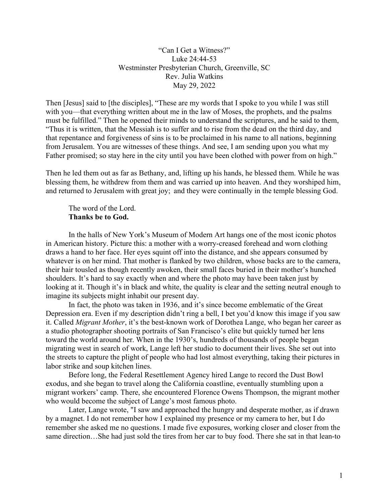"Can I Get a Witness?" Luke 24:44-53 Westminster Presbyterian Church, Greenville, SC Rev. Julia Watkins May 29, 2022

Then [Jesus] said to [the disciples], "These are my words that I spoke to you while I was still with you—that everything written about me in the law of Moses, the prophets, and the psalms must be fulfilled." Then he opened their minds to understand the scriptures, and he said to them, "Thus it is written, that the Messiah is to suffer and to rise from the dead on the third day, and that repentance and forgiveness of sins is to be proclaimed in his name to all nations, beginning from Jerusalem. You are witnesses of these things. And see, I am sending upon you what my Father promised; so stay here in the city until you have been clothed with power from on high."

Then he led them out as far as Bethany, and, lifting up his hands, he blessed them. While he was blessing them, he withdrew from them and was carried up into heaven. And they worshiped him, and returned to Jerusalem with great joy; and they were continually in the temple blessing God.

# The word of the Lord. Thanks be to God.

In the halls of New York's Museum of Modern Art hangs one of the most iconic photos in American history. Picture this: a mother with a worry-creased forehead and worn clothing draws a hand to her face. Her eyes squint off into the distance, and she appears consumed by whatever is on her mind. That mother is flanked by two children, whose backs are to the camera, their hair tousled as though recently awoken, their small faces buried in their mother's hunched shoulders. It's hard to say exactly when and where the photo may have been taken just by looking at it. Though it's in black and white, the quality is clear and the setting neutral enough to imagine its subjects might inhabit our present day.

In fact, the photo was taken in 1936, and it's since become emblematic of the Great Depression era. Even if my description didn't ring a bell, I bet you'd know this image if you saw it. Called Migrant Mother, it's the best-known work of Dorothea Lange, who began her career as a studio photographer shooting portraits of San Francisco's elite but quickly turned her lens toward the world around her. When in the 1930's, hundreds of thousands of people began migrating west in search of work, Lange left her studio to document their lives. She set out into the streets to capture the plight of people who had lost almost everything, taking their pictures in labor strike and soup kitchen lines.

Before long, the Federal Resettlement Agency hired Lange to record the Dust Bowl exodus, and she began to travel along the California coastline, eventually stumbling upon a migrant workers' camp. There, she encountered Florence Owens Thompson, the migrant mother who would become the subject of Lange's most famous photo.

Later, Lange wrote, "I saw and approached the hungry and desperate mother, as if drawn by a magnet. I do not remember how I explained my presence or my camera to her, but I do remember she asked me no questions. I made five exposures, working closer and closer from the same direction…She had just sold the tires from her car to buy food. There she sat in that lean-to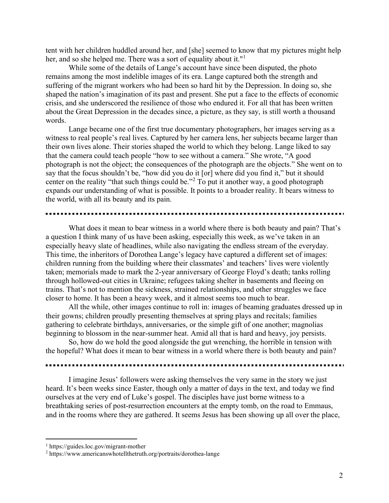tent with her children huddled around her, and [she] seemed to know that my pictures might help her, and so she helped me. There was a sort of equality about it."<sup>1</sup>

While some of the details of Lange's account have since been disputed, the photo remains among the most indelible images of its era. Lange captured both the strength and suffering of the migrant workers who had been so hard hit by the Depression. In doing so, she shaped the nation's imagination of its past and present. She put a face to the effects of economic crisis, and she underscored the resilience of those who endured it. For all that has been written about the Great Depression in the decades since, a picture, as they say, is still worth a thousand words.

Lange became one of the first true documentary photographers, her images serving as a witness to real people's real lives. Captured by her camera lens, her subjects became larger than their own lives alone. Their stories shaped the world to which they belong. Lange liked to say that the camera could teach people "how to see without a camera." She wrote, "A good photograph is not the object; the consequences of the photograph are the objects." She went on to say that the focus shouldn't be, "how did you do it [or] where did you find it," but it should center on the reality "that such things could be."<sup>2</sup> To put it another way, a good photograph expands our understanding of what is possible. It points to a broader reality. It bears witness to the world, with all its beauty and its pain.

What does it mean to bear witness in a world where there is both beauty and pain? That's a question I think many of us have been asking, especially this week, as we've taken in an especially heavy slate of headlines, while also navigating the endless stream of the everyday. This time, the inheritors of Dorothea Lange's legacy have captured a different set of images: children running from the building where their classmates' and teachers' lives were violently taken; memorials made to mark the 2-year anniversary of George Floyd's death; tanks rolling through hollowed-out cities in Ukraine; refugees taking shelter in basements and fleeing on trains. That's not to mention the sickness, strained relationships, and other struggles we face closer to home. It has been a heavy week, and it almost seems too much to bear.

All the while, other images continue to roll in: images of beaming graduates dressed up in their gowns; children proudly presenting themselves at spring plays and recitals; families gathering to celebrate birthdays, anniversaries, or the simple gift of one another; magnolias beginning to blossom in the near-summer heat. Amid all that is hard and heavy, joy persists.

So, how do we hold the good alongside the gut wrenching, the horrible in tension with the hopeful? What does it mean to bear witness in a world where there is both beauty and pain?

I imagine Jesus' followers were asking themselves the very same in the story we just heard. It's been weeks since Easter, though only a matter of days in the text, and today we find ourselves at the very end of Luke's gospel. The disciples have just borne witness to a breathtaking series of post-resurrection encounters at the empty tomb, on the road to Emmaus, and in the rooms where they are gathered. It seems Jesus has been showing up all over the place,

<sup>1</sup> https://guides.loc.gov/migrant-mother

<sup>&</sup>lt;sup>2</sup> https://www.americanswhotellthetruth.org/portraits/dorothea-lange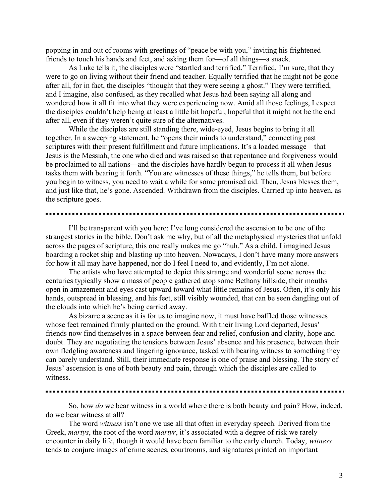popping in and out of rooms with greetings of "peace be with you," inviting his frightened friends to touch his hands and feet, and asking them for—of all things—a snack.

As Luke tells it, the disciples were "startled and terrified." Terrified, I'm sure, that they were to go on living without their friend and teacher. Equally terrified that he might not be gone after all, for in fact, the disciples "thought that they were seeing a ghost." They were terrified, and I imagine, also confused, as they recalled what Jesus had been saying all along and wondered how it all fit into what they were experiencing now. Amid all those feelings, I expect the disciples couldn't help being at least a little bit hopeful, hopeful that it might not be the end after all, even if they weren't quite sure of the alternatives.

While the disciples are still standing there, wide-eyed, Jesus begins to bring it all together. In a sweeping statement, he "opens their minds to understand," connecting past scriptures with their present fulfillment and future implications. It's a loaded message—that Jesus is the Messiah, the one who died and was raised so that repentance and forgiveness would be proclaimed to all nations—and the disciples have hardly begun to process it all when Jesus tasks them with bearing it forth. "You are witnesses of these things," he tells them, but before you begin to witness, you need to wait a while for some promised aid. Then, Jesus blesses them, and just like that, he's gone. Ascended. Withdrawn from the disciples. Carried up into heaven, as the scripture goes.

I'll be transparent with you here: I've long considered the ascension to be one of the strangest stories in the bible. Don't ask me why, but of all the metaphysical mysteries that unfold across the pages of scripture, this one really makes me go "huh." As a child, I imagined Jesus boarding a rocket ship and blasting up into heaven. Nowadays, I don't have many more answers for how it all may have happened, nor do I feel I need to, and evidently, I'm not alone.

The artists who have attempted to depict this strange and wonderful scene across the centuries typically show a mass of people gathered atop some Bethany hillside, their mouths open in amazement and eyes cast upward toward what little remains of Jesus. Often, it's only his hands, outspread in blessing, and his feet, still visibly wounded, that can be seen dangling out of the clouds into which he's being carried away.

As bizarre a scene as it is for us to imagine now, it must have baffled those witnesses whose feet remained firmly planted on the ground. With their living Lord departed, Jesus' friends now find themselves in a space between fear and relief, confusion and clarity, hope and doubt. They are negotiating the tensions between Jesus' absence and his presence, between their own fledgling awareness and lingering ignorance, tasked with bearing witness to something they can barely understand. Still, their immediate response is one of praise and blessing. The story of Jesus' ascension is one of both beauty and pain, through which the disciples are called to witness.

So, how *do* we bear witness in a world where there is both beauty and pain? How, indeed, do we bear witness at all?

The word *witness* isn't one we use all that often in everyday speech. Derived from the Greek, martys, the root of the word martyr, it's associated with a degree of risk we rarely encounter in daily life, though it would have been familiar to the early church. Today, witness tends to conjure images of crime scenes, courtrooms, and signatures printed on important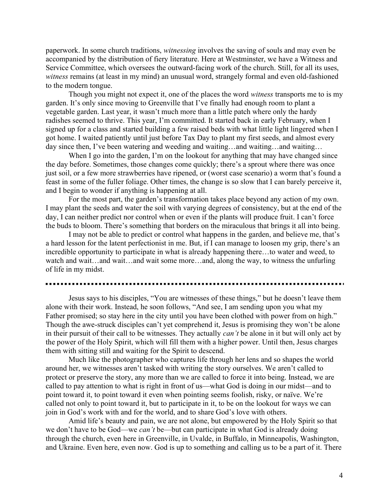paperwork. In some church traditions, witnessing involves the saving of souls and may even be accompanied by the distribution of fiery literature. Here at Westminster, we have a Witness and Service Committee, which oversees the outward-facing work of the church. Still, for all its uses, witness remains (at least in my mind) an unusual word, strangely formal and even old-fashioned to the modern tongue.

Though you might not expect it, one of the places the word witness transports me to is my garden. It's only since moving to Greenville that I've finally had enough room to plant a vegetable garden. Last year, it wasn't much more than a little patch where only the hardy radishes seemed to thrive. This year, I'm committed. It started back in early February, when I signed up for a class and started building a few raised beds with what little light lingered when I got home. I waited patiently until just before Tax Day to plant my first seeds, and almost every day since then, I've been watering and weeding and waiting…and waiting…and waiting…

When I go into the garden, I'm on the lookout for anything that may have changed since the day before. Sometimes, those changes come quickly; there's a sprout where there was once just soil, or a few more strawberries have ripened, or (worst case scenario) a worm that's found a feast in some of the fuller foliage. Other times, the change is so slow that I can barely perceive it, and I begin to wonder if anything is happening at all.

For the most part, the garden's transformation takes place beyond any action of my own. I may plant the seeds and water the soil with varying degrees of consistency, but at the end of the day, I can neither predict nor control when or even if the plants will produce fruit. I can't force the buds to bloom. There's something that borders on the miraculous that brings it all into being.

I may not be able to predict or control what happens in the garden, and believe me, that's a hard lesson for the latent perfectionist in me. But, if I can manage to loosen my grip, there's an incredible opportunity to participate in what is already happening there…to water and weed, to watch and wait…and wait…and wait some more…and, along the way, to witness the unfurling of life in my midst.

Jesus says to his disciples, "You are witnesses of these things," but he doesn't leave them alone with their work. Instead, he soon follows, "And see, I am sending upon you what my Father promised; so stay here in the city until you have been clothed with power from on high." Though the awe-struck disciples can't yet comprehend it, Jesus is promising they won't be alone in their pursuit of their call to be witnesses. They actually *can't* be alone in it but will only act by the power of the Holy Spirit, which will fill them with a higher power. Until then, Jesus charges them with sitting still and waiting for the Spirit to descend.

Much like the photographer who captures life through her lens and so shapes the world around her, we witnesses aren't tasked with writing the story ourselves. We aren't called to protect or preserve the story, any more than we are called to force it into being. Instead, we are called to pay attention to what is right in front of us—what God is doing in our midst—and to point toward it, to point toward it even when pointing seems foolish, risky, or naïve. We're called not only to point toward it, but to participate in it, to be on the lookout for ways we can join in God's work with and for the world, and to share God's love with others.

Amid life's beauty and pain, we are not alone, but empowered by the Holy Spirit so that we don't have to be God—we *can't* be—but can participate in what God is already doing through the church, even here in Greenville, in Uvalde, in Buffalo, in Minneapolis, Washington, and Ukraine. Even here, even now. God is up to something and calling us to be a part of it. There